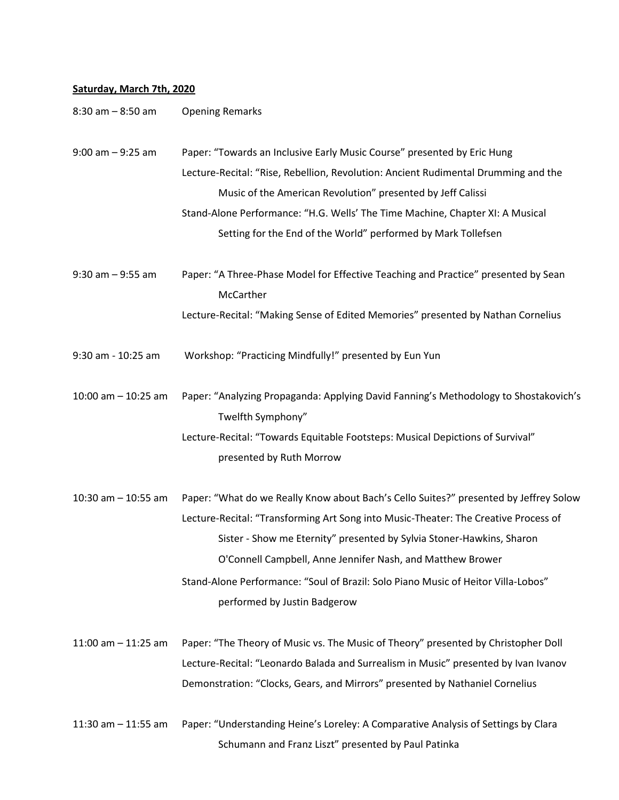## **Saturday, March 7th, 2020**

| $8:30$ am $-8:50$ am  | <b>Opening Remarks</b>                                                                                                                                                                                                                                                                                                                                                                                                                   |
|-----------------------|------------------------------------------------------------------------------------------------------------------------------------------------------------------------------------------------------------------------------------------------------------------------------------------------------------------------------------------------------------------------------------------------------------------------------------------|
| $9:00$ am $-9:25$ am  | Paper: "Towards an Inclusive Early Music Course" presented by Eric Hung<br>Lecture-Recital: "Rise, Rebellion, Revolution: Ancient Rudimental Drumming and the<br>Music of the American Revolution" presented by Jeff Calissi<br>Stand-Alone Performance: "H.G. Wells' The Time Machine, Chapter XI: A Musical<br>Setting for the End of the World" performed by Mark Tollefsen                                                           |
| $9:30$ am $-9:55$ am  | Paper: "A Three-Phase Model for Effective Teaching and Practice" presented by Sean<br>McCarther<br>Lecture-Recital: "Making Sense of Edited Memories" presented by Nathan Cornelius                                                                                                                                                                                                                                                      |
| 9:30 am - 10:25 am    | Workshop: "Practicing Mindfully!" presented by Eun Yun                                                                                                                                                                                                                                                                                                                                                                                   |
| 10:00 am $-$ 10:25 am | Paper: "Analyzing Propaganda: Applying David Fanning's Methodology to Shostakovich's<br>Twelfth Symphony"<br>Lecture-Recital: "Towards Equitable Footsteps: Musical Depictions of Survival"<br>presented by Ruth Morrow                                                                                                                                                                                                                  |
| 10:30 am $-$ 10:55 am | Paper: "What do we Really Know about Bach's Cello Suites?" presented by Jeffrey Solow<br>Lecture-Recital: "Transforming Art Song into Music-Theater: The Creative Process of<br>Sister - Show me Eternity" presented by Sylvia Stoner-Hawkins, Sharon<br>O'Connell Campbell, Anne Jennifer Nash, and Matthew Brower<br>Stand-Alone Performance: "Soul of Brazil: Solo Piano Music of Heitor Villa-Lobos"<br>performed by Justin Badgerow |
| 11:00 am $-$ 11:25 am | Paper: "The Theory of Music vs. The Music of Theory" presented by Christopher Doll<br>Lecture-Recital: "Leonardo Balada and Surrealism in Music" presented by Ivan Ivanov<br>Demonstration: "Clocks, Gears, and Mirrors" presented by Nathaniel Cornelius                                                                                                                                                                                |
| 11:30 am $-$ 11:55 am | Paper: "Understanding Heine's Loreley: A Comparative Analysis of Settings by Clara<br>Schumann and Franz Liszt" presented by Paul Patinka                                                                                                                                                                                                                                                                                                |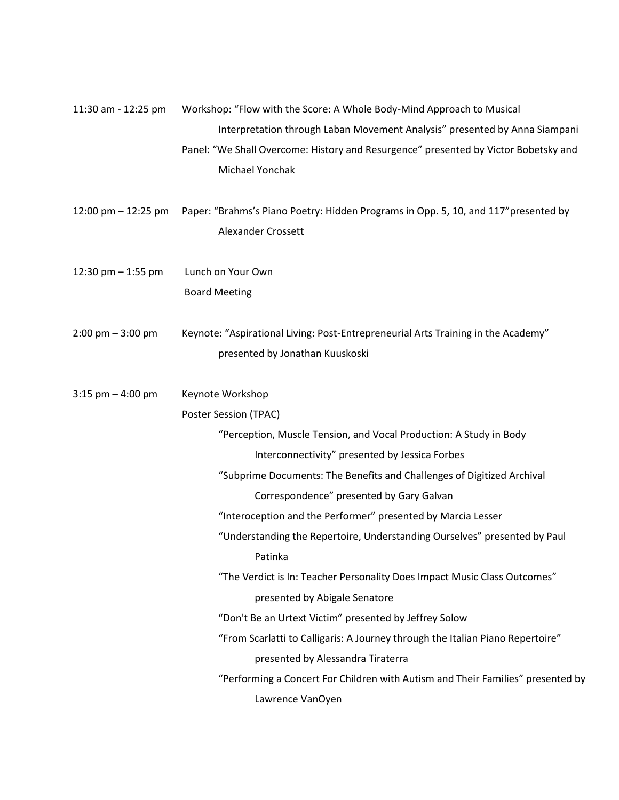| 11:30 am - 12:25 pm                 | Workshop: "Flow with the Score: A Whole Body-Mind Approach to Musical                                     |  |  |  |  |
|-------------------------------------|-----------------------------------------------------------------------------------------------------------|--|--|--|--|
|                                     | Interpretation through Laban Movement Analysis" presented by Anna Siampani                                |  |  |  |  |
|                                     | Panel: "We Shall Overcome: History and Resurgence" presented by Victor Bobetsky and                       |  |  |  |  |
|                                     | Michael Yonchak                                                                                           |  |  |  |  |
| 12:00 pm $-$ 12:25 pm               | Paper: "Brahms's Piano Poetry: Hidden Programs in Opp. 5, 10, and 117" presented by<br>Alexander Crossett |  |  |  |  |
| 12:30 pm $-$ 1:55 pm                | Lunch on Your Own                                                                                         |  |  |  |  |
|                                     | <b>Board Meeting</b>                                                                                      |  |  |  |  |
| $2:00 \text{ pm} - 3:00 \text{ pm}$ | Keynote: "Aspirational Living: Post-Entrepreneurial Arts Training in the Academy"                         |  |  |  |  |
|                                     | presented by Jonathan Kuuskoski                                                                           |  |  |  |  |
| $3:15$ pm $-4:00$ pm                | Keynote Workshop                                                                                          |  |  |  |  |
|                                     | Poster Session (TPAC)                                                                                     |  |  |  |  |
|                                     | "Perception, Muscle Tension, and Vocal Production: A Study in Body                                        |  |  |  |  |
|                                     | Interconnectivity" presented by Jessica Forbes                                                            |  |  |  |  |
|                                     | "Subprime Documents: The Benefits and Challenges of Digitized Archival                                    |  |  |  |  |
|                                     | Correspondence" presented by Gary Galvan                                                                  |  |  |  |  |
|                                     | "Interoception and the Performer" presented by Marcia Lesser                                              |  |  |  |  |
|                                     | "Understanding the Repertoire, Understanding Ourselves" presented by Paul                                 |  |  |  |  |
|                                     | Patinka                                                                                                   |  |  |  |  |
|                                     | "The Verdict is In: Teacher Personality Does Impact Music Class Outcomes"                                 |  |  |  |  |
|                                     | presented by Abigale Senatore                                                                             |  |  |  |  |
|                                     | "Don't Be an Urtext Victim" presented by Jeffrey Solow                                                    |  |  |  |  |
|                                     | "From Scarlatti to Calligaris: A Journey through the Italian Piano Repertoire"                            |  |  |  |  |
|                                     | presented by Alessandra Tiraterra                                                                         |  |  |  |  |
|                                     | "Performing a Concert For Children with Autism and Their Families" presented by                           |  |  |  |  |
|                                     | Lawrence VanOyen                                                                                          |  |  |  |  |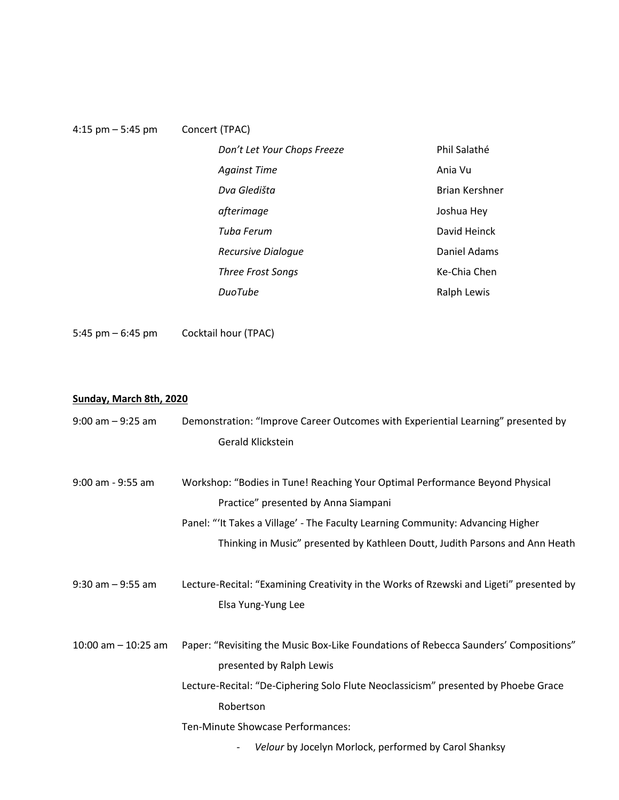| 4:15 pm $-$ 5:45 pm | Concert (TPAC)              |                       |
|---------------------|-----------------------------|-----------------------|
|                     | Don't Let Your Chops Freeze | Phil Salathé          |
|                     | <b>Against Time</b>         | Ania Vu               |
|                     | Dva Gledišta                | <b>Brian Kershner</b> |
|                     | afterimage                  | Joshua Hey            |
|                     | Tuba Ferum                  | David Heinck          |
|                     | <b>Recursive Dialoque</b>   | Daniel Adams          |
|                     | <b>Three Frost Songs</b>    | Ke-Chia Chen          |
|                     | <b>DuoTube</b>              | Ralph Lewis           |

5:45 pm – 6:45 pm Cocktail hour (TPAC)

## **Sunday, March 8th, 2020**

| $9:00$ am $-9:25$ am   | Demonstration: "Improve Career Outcomes with Experiential Learning" presented by        |  |
|------------------------|-----------------------------------------------------------------------------------------|--|
|                        | Gerald Klickstein                                                                       |  |
|                        |                                                                                         |  |
| 9:00 am - 9:55 am      | Workshop: "Bodies in Tune! Reaching Your Optimal Performance Beyond Physical            |  |
|                        | Practice" presented by Anna Siampani                                                    |  |
|                        | Panel: "'It Takes a Village' - The Faculty Learning Community: Advancing Higher         |  |
|                        | Thinking in Music" presented by Kathleen Doutt, Judith Parsons and Ann Heath            |  |
|                        |                                                                                         |  |
| $9:30$ am $-9:55$ am   | Lecture-Recital: "Examining Creativity in the Works of Rzewski and Ligeti" presented by |  |
|                        | Elsa Yung-Yung Lee                                                                      |  |
|                        |                                                                                         |  |
| $10:00$ am $-10:25$ am | Paper: "Revisiting the Music Box-Like Foundations of Rebecca Saunders' Compositions"    |  |
|                        | presented by Ralph Lewis                                                                |  |
|                        | Lecture-Recital: "De-Ciphering Solo Flute Neoclassicism" presented by Phoebe Grace      |  |
|                        | Robertson                                                                               |  |
|                        | Ten-Minute Showcase Performances:                                                       |  |
|                        | Velour by Jocelyn Morlock, performed by Carol Shanksy<br>$\overline{\phantom{a}}$       |  |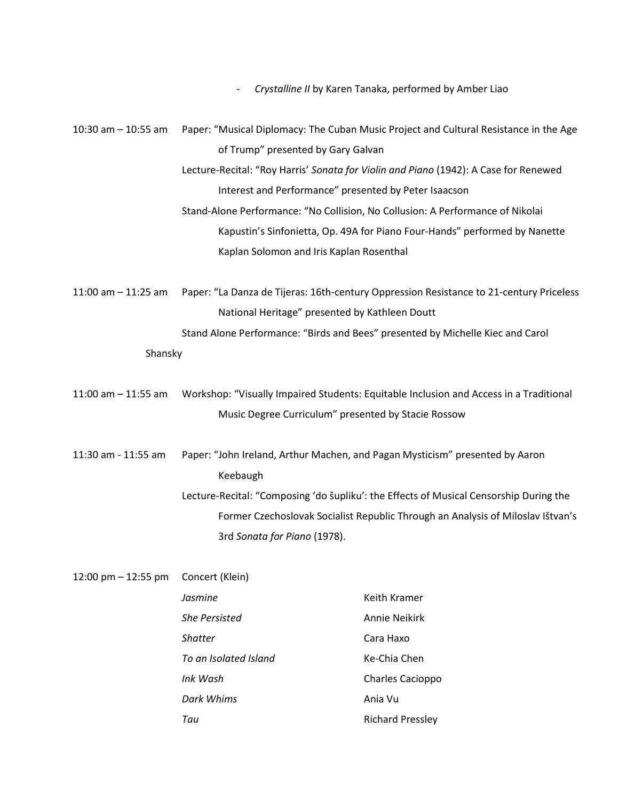|  |  |  |  | Crystalline II by Karen Tanaka, performed by Amber Liao |  |  |
|--|--|--|--|---------------------------------------------------------|--|--|
|--|--|--|--|---------------------------------------------------------|--|--|

| $10:30$ am $- 10:55$ am                                                         | Paper: "Musical Diplomacy: The Cuban Music Project and Cultural Resistance in the Age  |                                                                                         |  |
|---------------------------------------------------------------------------------|----------------------------------------------------------------------------------------|-----------------------------------------------------------------------------------------|--|
|                                                                                 | of Trump" presented by Gary Galvan                                                     |                                                                                         |  |
|                                                                                 | Lecture-Recital: "Roy Harris' Sonata for Violin and Piano (1942): A Case for Renewed   |                                                                                         |  |
|                                                                                 | Interest and Performance" presented by Peter Isaacson                                  |                                                                                         |  |
|                                                                                 | Stand-Alone Performance: "No Collision, No Collusion: A Performance of Nikolai         |                                                                                         |  |
|                                                                                 | Kapustin's Sinfonietta, Op. 49A for Piano Four-Hands" performed by Nanette             |                                                                                         |  |
|                                                                                 | Kaplan Solomon and Iris Kaplan Rosenthal                                               |                                                                                         |  |
|                                                                                 |                                                                                        |                                                                                         |  |
| 11:00 am $-$ 11:25 am                                                           |                                                                                        | Paper: "La Danza de Tijeras: 16th-century Oppression Resistance to 21-century Priceless |  |
|                                                                                 | National Heritage" presented by Kathleen Doutt                                         |                                                                                         |  |
|                                                                                 | Stand Alone Performance: "Birds and Bees" presented by Michelle Kiec and Carol         |                                                                                         |  |
| Shansky                                                                         |                                                                                        |                                                                                         |  |
|                                                                                 |                                                                                        |                                                                                         |  |
| 11:00 am $-$ 11:55 am                                                           | Workshop: "Visually Impaired Students: Equitable Inclusion and Access in a Traditional |                                                                                         |  |
|                                                                                 | Music Degree Curriculum" presented by Stacie Rossow                                    |                                                                                         |  |
|                                                                                 |                                                                                        |                                                                                         |  |
| 11:30 am - 11:55 am                                                             |                                                                                        | Paper: "John Ireland, Arthur Machen, and Pagan Mysticism" presented by Aaron            |  |
|                                                                                 | Keebaugh                                                                               |                                                                                         |  |
|                                                                                 |                                                                                        | Lecture-Recital: "Composing 'do šupliku': the Effects of Musical Censorship During the  |  |
| Former Czechoslovak Socialist Republic Through an Analysis of Miloslav Ištvan's |                                                                                        |                                                                                         |  |
|                                                                                 | 3rd Sonata for Piano (1978).                                                           |                                                                                         |  |
|                                                                                 |                                                                                        |                                                                                         |  |
| 12:00 pm - 12:55 pm                                                             | Concert (Klein)                                                                        |                                                                                         |  |
|                                                                                 | Jasmine                                                                                | Keith Kramer                                                                            |  |
|                                                                                 | <b>She Persisted</b>                                                                   | <b>Annie Neikirk</b>                                                                    |  |
|                                                                                 | <b>Shatter</b>                                                                         | Cara Haxo                                                                               |  |
|                                                                                 | To an Isolated Island                                                                  | Ke-Chia Chen                                                                            |  |
|                                                                                 | Ink Wash                                                                               | Charles Cacioppo                                                                        |  |

- *Dark Whims* Ania Vu
- **Tau** Richard Pressley